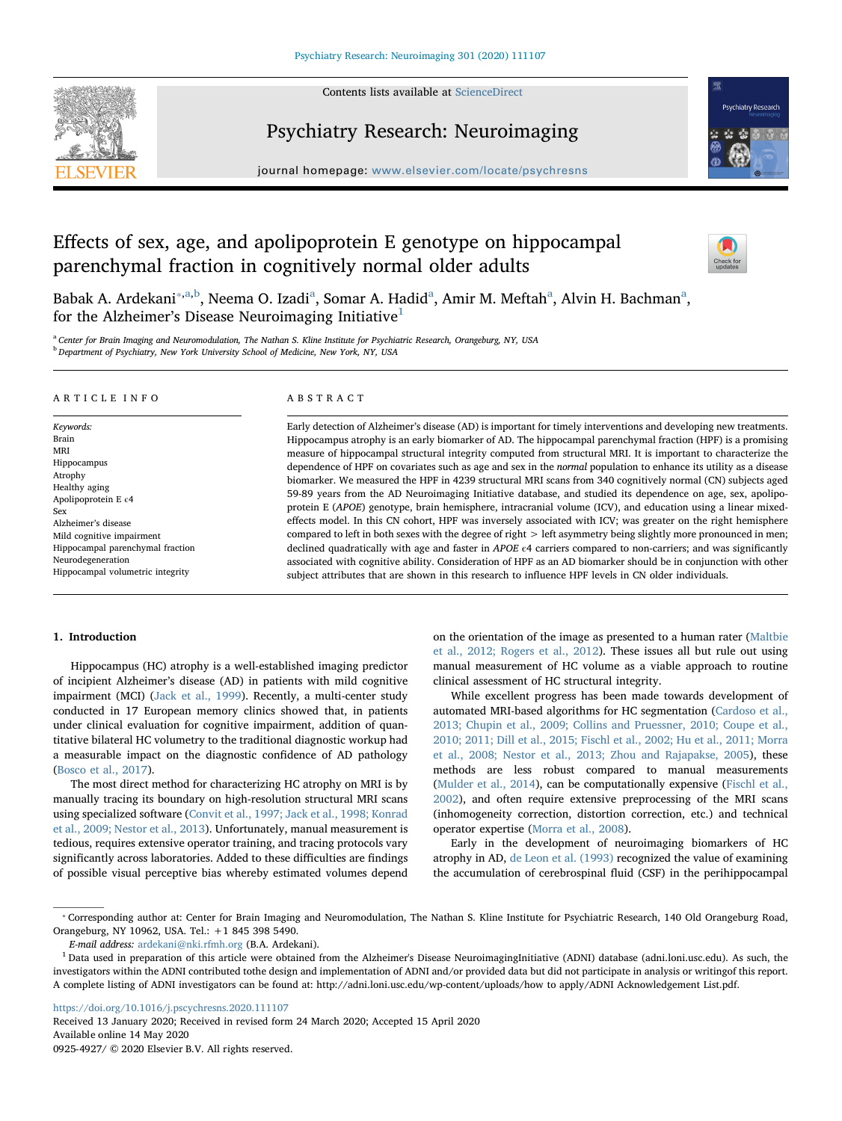

# Psychiatry Research: Neuroimaging

journal homepage: [www.elsevier.com/locate/psychresns](https://www.elsevier.com/locate/psychresns)

# Effects of sex, age, and apolipoprotein E genotype on hippocampal parenchymal fraction in cognitively normal older adults



**Psychiatry Research** 

B[a](#page-0-1)bak A. Ardekani<sup>\*,a[,b](#page-0-2)</sup>, Neema O. Izadi<sup>a</sup>, Somar A. Hadid<sup>a</sup>, Amir M. Meftah<sup>a</sup>, Alvin H. Bachman<sup>a</sup>, for the Alzheimer's Disease Neuroimaging Initiative<sup>[1](#page-0-3)</sup>

<span id="page-0-2"></span><span id="page-0-1"></span>a Center for Brain Imaging and Neuromodulation, The Nathan S. Kline Institute for Psychiatric Research, Orangeburg, NY, USA **b** Department of Psychiatry, New York University School of Medicine, New York, NY, USA

#### ARTICLE INFO

Keywords: Brain MRI Hippocampus Atrophy Healthy aging Apolipoprotein E ε4 Sex Alzheimer's disease Mild cognitive impairment Hippocampal parenchymal fraction Neurodegeneration Hippocampal volumetric integrity

# ABSTRACT

Early detection of Alzheimer's disease (AD) is important for timely interventions and developing new treatments. Hippocampus atrophy is an early biomarker of AD. The hippocampal parenchymal fraction (HPF) is a promising measure of hippocampal structural integrity computed from structural MRI. It is important to characterize the dependence of HPF on covariates such as age and sex in the normal population to enhance its utility as a disease biomarker. We measured the HPF in 4239 structural MRI scans from 340 cognitively normal (CN) subjects aged 59-89 years from the AD Neuroimaging Initiative database, and studied its dependence on age, sex, apolipoprotein E (APOE) genotype, brain hemisphere, intracranial volume (ICV), and education using a linear mixedeffects model. In this CN cohort, HPF was inversely associated with ICV; was greater on the right hemisphere compared to left in both sexes with the degree of right > left asymmetry being slightly more pronounced in men; declined quadratically with age and faster in APOE  $\epsilon$ 4 carriers compared to non-carriers; and was significantly associated with cognitive ability. Consideration of HPF as an AD biomarker should be in conjunction with other subject attributes that are shown in this research to influence HPF levels in CN older individuals.

# 1. Introduction

Hippocampus (HC) atrophy is a well-established imaging predictor of incipient Alzheimer's disease (AD) in patients with mild cognitive impairment (MCI) [\(Jack et al., 1999\)](#page-8-0). Recently, a multi-center study conducted in 17 European memory clinics showed that, in patients under clinical evaluation for cognitive impairment, addition of quantitative bilateral HC volumetry to the traditional diagnostic workup had a measurable impact on the diagnostic confidence of AD pathology ([Bosco et al., 2017](#page-7-0)).

The most direct method for characterizing HC atrophy on MRI is by manually tracing its boundary on high-resolution structural MRI scans using specialized software ([Convit et al., 1997; Jack et al., 1998; Konrad](#page-7-1) [et al., 2009; Nestor et al., 2013](#page-7-1)). Unfortunately, manual measurement is tedious, requires extensive operator training, and tracing protocols vary significantly across laboratories. Added to these difficulties are findings of possible visual perceptive bias whereby estimated volumes depend

on the orientation of the image as presented to a human rater ([Maltbie](#page-8-1) [et al., 2012; Rogers et al., 2012\)](#page-8-1). These issues all but rule out using manual measurement of HC volume as a viable approach to routine clinical assessment of HC structural integrity.

While excellent progress has been made towards development of automated MRI-based algorithms for HC segmentation [\(Cardoso et al.,](#page-7-2) [2013; Chupin et al., 2009; Collins and Pruessner, 2010; Coupe et al.,](#page-7-2) [2010; 2011; Dill et al., 2015; Fischl et al., 2002; Hu et al., 2011; Morra](#page-7-2) [et al., 2008; Nestor et al., 2013; Zhou and Rajapakse, 2005](#page-7-2)), these methods are less robust compared to manual measurements ([Mulder et al., 2014\)](#page-8-2), can be computationally expensive ([Fischl et al.,](#page-7-3) [2002\)](#page-7-3), and often require extensive preprocessing of the MRI scans (inhomogeneity correction, distortion correction, etc.) and technical operator expertise ([Morra et al., 2008\)](#page-8-3).

Early in the development of neuroimaging biomarkers of HC atrophy in AD, [de Leon et al. \(1993\)](#page-8-4) recognized the value of examining the accumulation of cerebrospinal fluid (CSF) in the perihippocampal

<https://doi.org/10.1016/j.pscychresns.2020.111107>

Received 13 January 2020; Received in revised form 24 March 2020; Accepted 15 April 2020 Available online 14 May 2020

0925-4927/ © 2020 Elsevier B.V. All rights reserved.

<span id="page-0-0"></span><sup>⁎</sup> Corresponding author at: Center for Brain Imaging and Neuromodulation, The Nathan S. Kline Institute for Psychiatric Research, 140 Old Orangeburg Road, Orangeburg, NY 10962, USA. Tel.: +1 845 398 5490.

E-mail address: [ardekani@nki.rfmh.org](mailto:ardekani@nki.rfmh.org) (B.A. Ardekani).

<span id="page-0-3"></span> $1$  Data used in preparation of this article were obtained from the Alzheimer's Disease NeuroimagingInitiative (ADNI) database (adni.loni.usc.edu). As such, the investigators within the ADNI contributed tothe design and implementation of ADNI and/or provided data but did not participate in analysis or writingof this report. A complete listing of ADNI investigators can be found at: http://adni.loni.usc.edu/wp-content/uploads/how to apply/ADNI Acknowledgement List.pdf.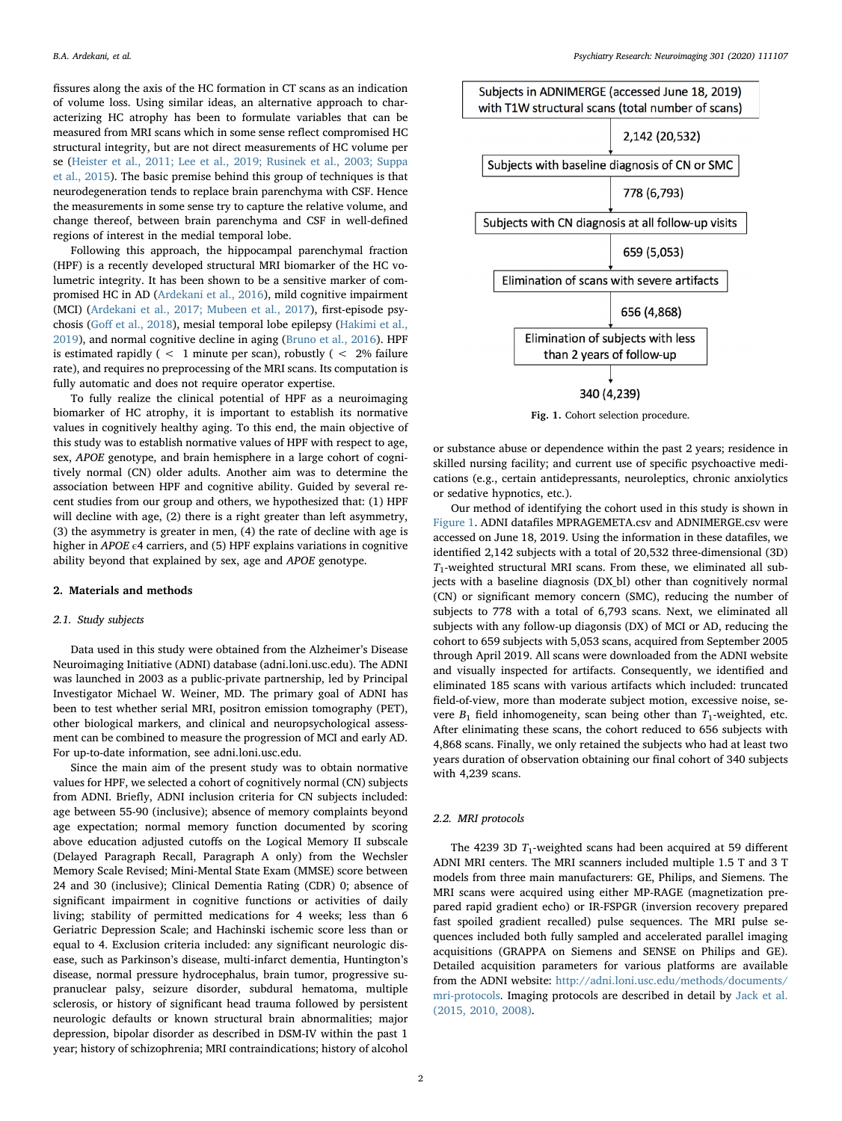fissures along the axis of the HC formation in CT scans as an indication of volume loss. Using similar ideas, an alternative approach to characterizing HC atrophy has been to formulate variables that can be measured from MRI scans which in some sense reflect compromised HC structural integrity, but are not direct measurements of HC volume per se ([Heister et al., 2011; Lee et al., 2019; Rusinek et al., 2003; Suppa](#page-7-4) [et al., 2015\)](#page-7-4). The basic premise behind this group of techniques is that neurodegeneration tends to replace brain parenchyma with CSF. Hence the measurements in some sense try to capture the relative volume, and change thereof, between brain parenchyma and CSF in well-defined regions of interest in the medial temporal lobe.

Following this approach, the hippocampal parenchymal fraction (HPF) is a recently developed structural MRI biomarker of the HC volumetric integrity. It has been shown to be a sensitive marker of compromised HC in AD ([Ardekani et al., 2016\)](#page-7-5), mild cognitive impairment (MCI) [\(Ardekani et al., 2017; Mubeen et al., 2017\)](#page-7-6), first-episode psychosis (Goff [et al., 2018](#page-7-7)), mesial temporal lobe epilepsy ([Hakimi et al.,](#page-7-8) [2019\)](#page-7-8), and normal cognitive decline in aging [\(Bruno et al., 2016](#page-7-9)). HPF is estimated rapidly ( $\langle 1 \rangle$  minute per scan), robustly ( $\langle 2 \rangle$  failure rate), and requires no preprocessing of the MRI scans. Its computation is fully automatic and does not require operator expertise.

To fully realize the clinical potential of HPF as a neuroimaging biomarker of HC atrophy, it is important to establish its normative values in cognitively healthy aging. To this end, the main objective of this study was to establish normative values of HPF with respect to age, sex, APOE genotype, and brain hemisphere in a large cohort of cognitively normal (CN) older adults. Another aim was to determine the association between HPF and cognitive ability. Guided by several recent studies from our group and others, we hypothesized that: (1) HPF will decline with age, (2) there is a right greater than left asymmetry, (3) the asymmetry is greater in men, (4) the rate of decline with age is higher in  $APOE \epsilon 4$  carriers, and (5) HPF explains variations in cognitive ability beyond that explained by sex, age and APOE genotype.

# 2. Materials and methods

# 2.1. Study subjects

Data used in this study were obtained from the Alzheimer's Disease Neuroimaging Initiative (ADNI) database (adni.loni.usc.edu). The ADNI was launched in 2003 as a public-private partnership, led by Principal Investigator Michael W. Weiner, MD. The primary goal of ADNI has been to test whether serial MRI, positron emission tomography (PET), other biological markers, and clinical and neuropsychological assessment can be combined to measure the progression of MCI and early AD. For up-to-date information, see adni.loni.usc.edu.

Since the main aim of the present study was to obtain normative values for HPF, we selected a cohort of cognitively normal (CN) subjects from ADNI. Briefly, ADNI inclusion criteria for CN subjects included: age between 55-90 (inclusive); absence of memory complaints beyond age expectation; normal memory function documented by scoring above education adjusted cutoffs on the Logical Memory II subscale (Delayed Paragraph Recall, Paragraph A only) from the Wechsler Memory Scale Revised; Mini-Mental State Exam (MMSE) score between 24 and 30 (inclusive); Clinical Dementia Rating (CDR) 0; absence of significant impairment in cognitive functions or activities of daily living; stability of permitted medications for 4 weeks; less than 6 Geriatric Depression Scale; and Hachinski ischemic score less than or equal to 4. Exclusion criteria included: any significant neurologic disease, such as Parkinson's disease, multi-infarct dementia, Huntington's disease, normal pressure hydrocephalus, brain tumor, progressive supranuclear palsy, seizure disorder, subdural hematoma, multiple sclerosis, or history of significant head trauma followed by persistent neurologic defaults or known structural brain abnormalities; major depression, bipolar disorder as described in DSM-IV within the past 1 year; history of schizophrenia; MRI contraindications; history of alcohol

<span id="page-1-0"></span>

Fig. 1. Cohort selection procedure.

or substance abuse or dependence within the past 2 years; residence in skilled nursing facility; and current use of specific psychoactive medications (e.g., certain antidepressants, neuroleptics, chronic anxiolytics or sedative hypnotics, etc.).

Our method of identifying the cohort used in this study is shown in [Figure 1.](#page-1-0) ADNI datafiles MPRAGEMETA.csv and ADNIMERGE.csv were accessed on June 18, 2019. Using the information in these datafiles, we identified 2,142 subjects with a total of 20,532 three-dimensional (3D)  $T_1$ -weighted structural MRI scans. From these, we eliminated all subjects with a baseline diagnosis (DX\_bl) other than cognitively normal (CN) or significant memory concern (SMC), reducing the number of subjects to 778 with a total of 6,793 scans. Next, we eliminated all subjects with any follow-up diagonsis (DX) of MCI or AD, reducing the cohort to 659 subjects with 5,053 scans, acquired from September 2005 through April 2019. All scans were downloaded from the ADNI website and visually inspected for artifacts. Consequently, we identified and eliminated 185 scans with various artifacts which included: truncated field-of-view, more than moderate subject motion, excessive noise, severe  $B_1$  field inhomogeneity, scan being other than  $T_1$ -weighted, etc. After elinimating these scans, the cohort reduced to 656 subjects with 4,868 scans. Finally, we only retained the subjects who had at least two years duration of observation obtaining our final cohort of 340 subjects with 4,239 scans.

# 2.2. MRI protocols

The 4239 3D  $T_1$ -weighted scans had been acquired at 59 different ADNI MRI centers. The MRI scanners included multiple 1.5 T and 3 T models from three main manufacturers: GE, Philips, and Siemens. The MRI scans were acquired using either MP-RAGE (magnetization prepared rapid gradient echo) or IR-FSPGR (inversion recovery prepared fast spoiled gradient recalled) pulse sequences. The MRI pulse sequences included both fully sampled and accelerated parallel imaging acquisitions (GRAPPA on Siemens and SENSE on Philips and GE). Detailed acquisition parameters for various platforms are available from the ADNI website: [http://adni.loni.usc.edu/methods/documents/](http://adni.loni.usc.edu/methods/documents/mri-protocols) [mri-protocols.](http://adni.loni.usc.edu/methods/documents/mri-protocols) Imaging protocols are described in detail by [Jack et al.](#page-8-5) [\(2015, 2010, 2008\)](#page-8-5).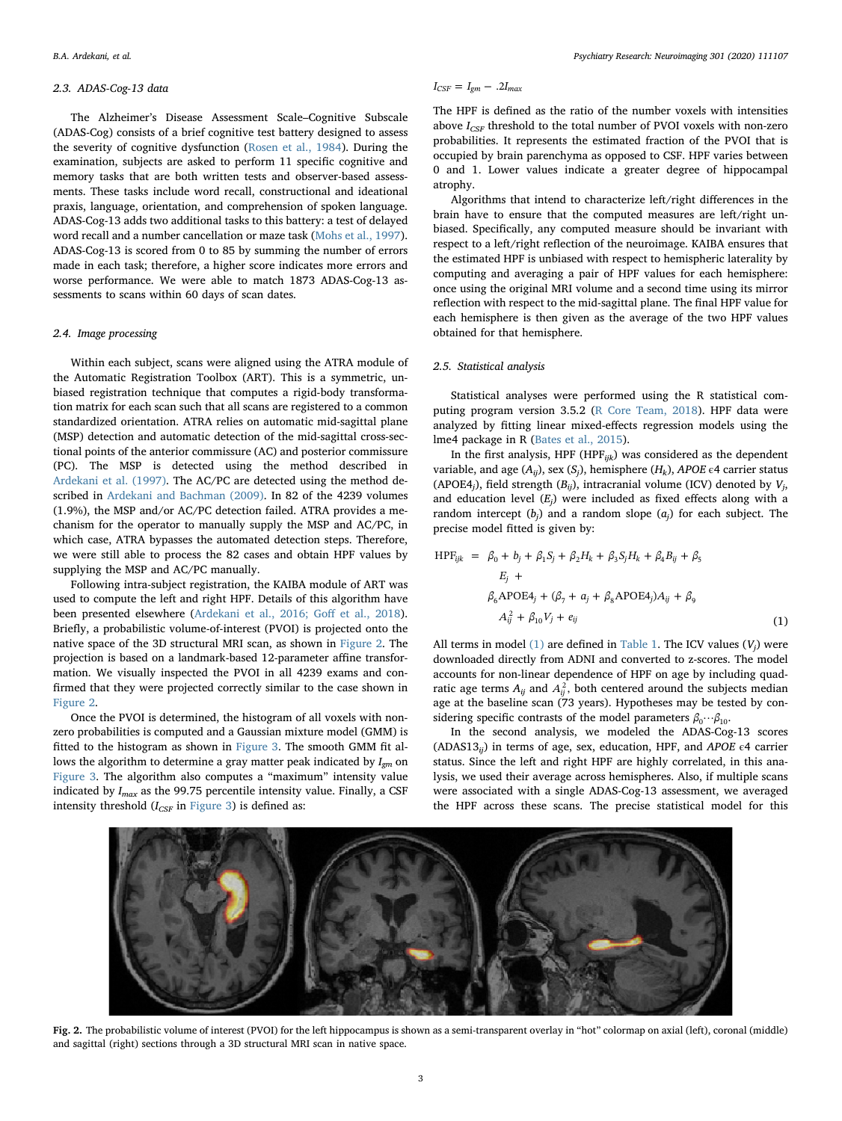#### 2.3. ADAS-Cog-13 data

The Alzheimer's Disease Assessment Scale–Cognitive Subscale (ADAS-Cog) consists of a brief cognitive test battery designed to assess the severity of cognitive dysfunction ([Rosen et al., 1984\)](#page-8-6). During the examination, subjects are asked to perform 11 specific cognitive and memory tasks that are both written tests and observer-based assessments. These tasks include word recall, constructional and ideational praxis, language, orientation, and comprehension of spoken language. ADAS-Cog-13 adds two additional tasks to this battery: a test of delayed word recall and a number cancellation or maze task [\(Mohs et al., 1997](#page-8-7)). ADAS-Cog-13 is scored from 0 to 85 by summing the number of errors made in each task; therefore, a higher score indicates more errors and worse performance. We were able to match 1873 ADAS-Cog-13 assessments to scans within 60 days of scan dates.

# 2.4. Image processing

Within each subject, scans were aligned using the ATRA module of the Automatic Registration Toolbox (ART). This is a symmetric, unbiased registration technique that computes a rigid-body transformation matrix for each scan such that all scans are registered to a common standardized orientation. ATRA relies on automatic mid-sagittal plane (MSP) detection and automatic detection of the mid-sagittal cross-sectional points of the anterior commissure (AC) and posterior commissure (PC). The MSP is detected using the method described in [Ardekani et al. \(1997\).](#page-7-10) The AC/PC are detected using the method described in [Ardekani and Bachman \(2009\).](#page-7-11) In 82 of the 4239 volumes (1.9%), the MSP and/or AC/PC detection failed. ATRA provides a mechanism for the operator to manually supply the MSP and AC/PC, in which case, ATRA bypasses the automated detection steps. Therefore, we were still able to process the 82 cases and obtain HPF values by supplying the MSP and AC/PC manually.

Following intra-subject registration, the KAIBA module of ART was used to compute the left and right HPF. Details of this algorithm have been presented elsewhere ([Ardekani et al., 2016; Go](#page-7-5)ff et al., 2018). Briefly, a probabilistic volume-of-interest (PVOI) is projected onto the native space of the 3D structural MRI scan, as shown in [Figure 2](#page-2-0). The projection is based on a landmark-based 12-parameter affine transformation. We visually inspected the PVOI in all 4239 exams and confirmed that they were projected correctly similar to the case shown in [Figure 2](#page-2-0).

Once the PVOI is determined, the histogram of all voxels with nonzero probabilities is computed and a Gaussian mixture model (GMM) is fitted to the histogram as shown in [Figure 3.](#page-3-0) The smooth GMM fit allows the algorithm to determine a gray matter peak indicated by  $I_{\text{gm}}$  on [Figure 3.](#page-3-0) The algorithm also computes a "maximum" intensity value indicated by  $I_{max}$  as the 99.75 percentile intensity value. Finally, a CSF intensity threshold  $(I_{CSF}$  in [Figure 3](#page-3-0)) is defined as:

$$
I_{CSF} = I_{gm} - .2I_{max}
$$

The HPF is defined as the ratio of the number voxels with intensities above  $I_{CSF}$  threshold to the total number of PVOI voxels with non-zero probabilities. It represents the estimated fraction of the PVOI that is occupied by brain parenchyma as opposed to CSF. HPF varies between 0 and 1. Lower values indicate a greater degree of hippocampal atrophy.

Algorithms that intend to characterize left/right differences in the brain have to ensure that the computed measures are left/right unbiased. Specifically, any computed measure should be invariant with respect to a left/right reflection of the neuroimage. KAIBA ensures that the estimated HPF is unbiased with respect to hemispheric laterality by computing and averaging a pair of HPF values for each hemisphere: once using the original MRI volume and a second time using its mirror reflection with respect to the mid-sagittal plane. The final HPF value for each hemisphere is then given as the average of the two HPF values obtained for that hemisphere.

# 2.5. Statistical analysis

Statistical analyses were performed using the R statistical computing program version 3.5.2 [\(R Core Team, 2018\)](#page-8-8). HPF data were analyzed by fitting linear mixed-effects regression models using the lme4 package in R [\(Bates et al., 2015\)](#page-7-12).

In the first analysis, HPF (HPF $_{ijk}$ ) was considered as the dependent variable, and age  $(A_{ij})$ , sex  $(S_j)$ , hemisphere  $(H_k)$ , APOE  $\epsilon$ 4 carrier status (APOE4<sub>j</sub>), field strength ( $B_{ij}$ ), intracranial volume (ICV) denoted by  $V_j$ , and education level  $(E_i)$  were included as fixed effects along with a random intercept  $(b_i)$  and a random slope  $(a_i)$  for each subject. The precise model fitted is given by:

<span id="page-2-1"></span>
$$
HPF_{ijk} = \beta_0 + b_j + \beta_1 S_j + \beta_2 H_k + \beta_3 S_j H_k + \beta_4 B_{ij} + \beta_5
$$
  
\n
$$
E_j +
$$
  
\n
$$
\beta_6 \text{APOE4}_j + (\beta_7 + a_j + \beta_8 \text{APOE4}_j) A_{ij} + \beta_9
$$
  
\n
$$
A_{ij}^2 + \beta_{10} V_j + e_{ij}
$$
\n(1)

All terms in model [\(1\)](#page-2-1) are defined in [Table 1](#page-3-1). The ICV values  $(V_i)$  were downloaded directly from ADNI and converted to z-scores. The model accounts for non-linear dependence of HPF on age by including quadratic age terms  $A_{ij}$  and  $A_{ij}^2$ , both centered around the subjects median age at the baseline scan (73 years). Hypotheses may be tested by considering specific contrasts of the model parameters  $\beta_0 \cdots \beta_{10}$ .

In the second analysis, we modeled the ADAS-Cog-13 scores (ADAS13<sub>ii</sub>) in terms of age, sex, education, HPF, and APOE  $\epsilon$ 4 carrier status. Since the left and right HPF are highly correlated, in this analysis, we used their average across hemispheres. Also, if multiple scans were associated with a single ADAS-Cog-13 assessment, we averaged the HPF across these scans. The precise statistical model for this

<span id="page-2-0"></span>

Fig. 2. The probabilistic volume of interest (PVOI) for the left hippocampus is shown as a semi-transparent overlay in "hot" colormap on axial (left), coronal (middle) and sagittal (right) sections through a 3D structural MRI scan in native space.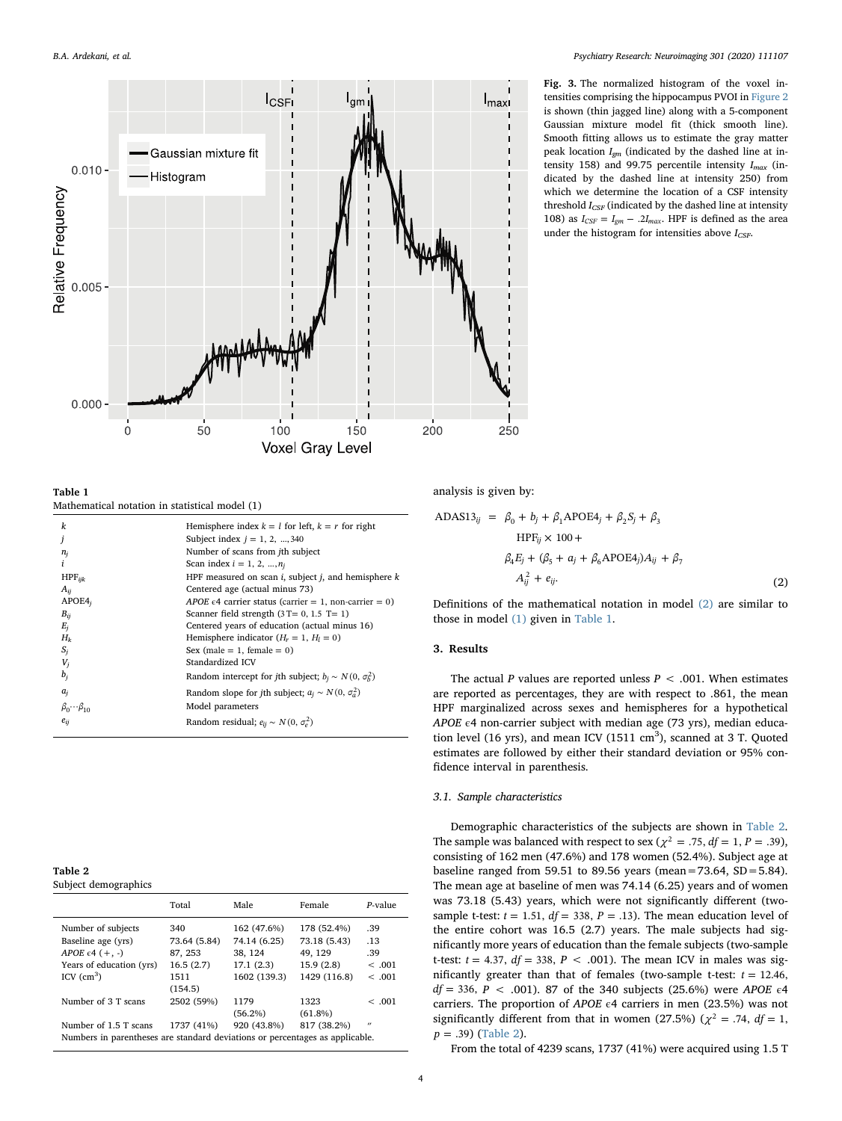<span id="page-3-0"></span>

Fig. 3. The normalized histogram of the voxel intensities comprising the hippocampus PVOI in [Figure 2](#page-2-0) is shown (thin jagged line) along with a 5-component Gaussian mixture model fit (thick smooth line). Smooth fitting allows us to estimate the gray matter peak location  $I_{gm}$  (indicated by the dashed line at intensity 158) and 99.75 percentile intensity  $I_{max}$  (indicated by the dashed line at intensity 250) from which we determine the location of a CSF intensity threshold  $I_{CSF}$  (indicated by the dashed line at intensity 108) as  $I_{CSF} = I_{gm} - .2I_{max}$ . HPF is defined as the area under the histogram for intensities above  $I_{CSP}$ .

<span id="page-3-1"></span>Table 1

Mathematical notation in statistical model (1)

| k                           | Hemisphere index $k = l$ for left, $k = r$ for right              |
|-----------------------------|-------------------------------------------------------------------|
|                             | Subject index $j = 1, 2, , 340$                                   |
| $n_i$                       | Number of scans from jth subject                                  |
| i                           | Scan index $i = 1, 2, , n_i$                                      |
| $HPF_{ijk}$                 | HPF measured on scan $i$ , subject $j$ , and hemisphere $k$       |
| $A_{ii}$                    | Centered age (actual minus 73)                                    |
| APOE4 <sub>i</sub>          | APOE $\epsilon$ 4 carrier status (carrier = 1, non-carrier = 0)   |
| $B_{ii}$                    | Scanner field strength $(3T=0, 1.5T=1)$                           |
| $E_j$                       | Centered years of education (actual minus 16)                     |
| $H_k$                       | Hemisphere indicator $(H_r = 1, H_l = 0)$                         |
| $S_i$                       | Sex (male = 1, female = $0$ )                                     |
| $V_j$                       | Standardized ICV                                                  |
| $b_i$                       | Random intercept for jth subject; $b_i \sim N(0, \sigma_b^2)$     |
| $a_i$                       | Random slope for <i>j</i> th subject; $a_j \sim N(0, \sigma_a^2)$ |
| $\beta_0 \cdots \beta_{10}$ | Model parameters                                                  |
| $e_{ij}$                    | Random residual; $e_{ij} \sim N(0, \sigma_e^2)$                   |
|                             |                                                                   |

<span id="page-3-3"></span>Table 2 Subject demographics

| $\frac{1}{2}$                                                                |                     |                             |                             |                   |
|------------------------------------------------------------------------------|---------------------|-----------------------------|-----------------------------|-------------------|
|                                                                              | Total               | Male                        | Female                      | $P-value$         |
| Number of subjects<br>Baseline age (yrs)                                     | 340<br>73.64 (5.84) | 162 (47.6%)<br>74.14 (6.25) | 178 (52.4%)<br>73.18 (5.43) | .39<br>.13        |
| APOE $\epsilon$ 4 (+, -)                                                     | 87, 253             | 38, 124                     | 49.129                      | .39               |
| Years of education (yrs)                                                     | 16.5(2.7)           | 17.1(2.3)                   | 15.9(2.8)                   | <.001             |
| ICV $\rm (cm^3)$                                                             | 1511                | 1602 (139.3)                | 1429 (116.8)                | < .001            |
|                                                                              | (154.5)             |                             |                             |                   |
| Number of 3 T scans                                                          | 2502 (59%)          | 1179                        | 1323                        | < .001            |
|                                                                              |                     | $(56.2\%)$                  | $(61.8\%)$                  |                   |
| Number of 1.5 T scans                                                        | 1737 (41%)          | 920 (43.8%)                 | 817 (38.2%)                 | $^{\prime\prime}$ |
| Numbers in parentheses are standard deviations or percentages as applicable. |                     |                             |                             |                   |

<span id="page-3-2"></span>analysis is given by:

$$
\text{ADAS13}_{ij} = \beta_0 + b_j + \beta_1 \text{APOE4}_j + \beta_2 S_j + \beta_3
$$
\n
$$
\text{HPF}_{ij} \times 100 +
$$
\n
$$
\beta_4 E_j + (\beta_5 + a_j + \beta_6 \text{APOE4}_j) A_{ij} + \beta_7
$$
\n
$$
A_{ij}^2 + e_{ij}.
$$
\n(2)

Definitions of the mathematical notation in model [\(2\)](#page-3-2) are similar to those in model [\(1\)](#page-2-1) given in [Table 1](#page-3-1).

## 3. Results

The actual P values are reported unless  $P < .001$ . When estimates are reported as percentages, they are with respect to .861, the mean HPF marginalized across sexes and hemispheres for a hypothetical APOE  $\epsilon$ 4 non-carrier subject with median age (73 yrs), median education level (16 yrs), and mean ICV (1511  $\text{cm}^3$ ), scanned at 3 T. Quoted estimates are followed by either their standard deviation or 95% confidence interval in parenthesis.

#### 3.1. Sample characteristics

Demographic characteristics of the subjects are shown in [Table 2](#page-3-3). The sample was balanced with respect to sex ( $\chi^2 = .75$ ,  $df = 1$ ,  $P = .39$ ), consisting of 162 men (47.6%) and 178 women (52.4%). Subject age at baseline ranged from 59.51 to 89.56 years (mean=73.64, SD=5.84). The mean age at baseline of men was 74.14 (6.25) years and of women was 73.18 (5.43) years, which were not significantly different (twosample t-test:  $t = 1.51$ ,  $df = 338$ ,  $P = .13$ ). The mean education level of the entire cohort was 16.5 (2.7) years. The male subjects had significantly more years of education than the female subjects (two-sample t-test:  $t = 4.37$ ,  $df = 338$ ,  $P < .001$ ). The mean ICV in males was significantly greater than that of females (two-sample t-test:  $t = 12.46$ , *df* = 336, *P* < .001). 87 of the 340 subjects (25.6%) were *APOE*  $\epsilon$ 4 carriers. The proportion of APOE  $\epsilon$ 4 carriers in men (23.5%) was not significantly different from that in women (27.5%) ( $\chi^2$  = .74, df = 1, *p* = .39) ([Table 2\)](#page-3-3).

From the total of 4239 scans, 1737 (41%) were acquired using 1.5 T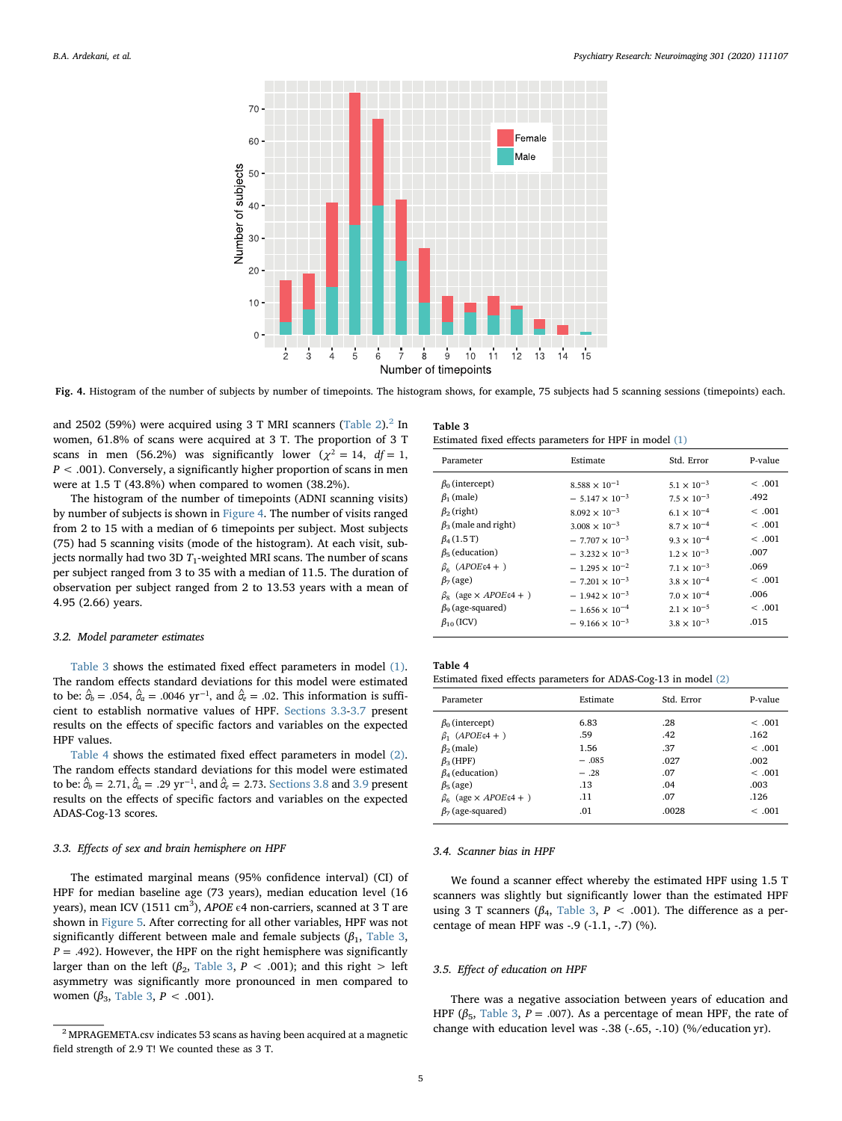<span id="page-4-1"></span>

Fig. 4. Histogram of the number of subjects by number of timepoints. The histogram shows, for example, 75 subjects had 5 scanning sessions (timepoints) each.

and 2502 (59%) were acquired using 3 T MRI scanners [\(Table 2](#page-3-3)). $^2$  $^2$  In women, 61.8% of scans were acquired at 3 T. The proportion of 3 T scans in men (56.2%) was significantly lower ( $\chi^2 = 14$ ,  $df = 1$ ,  $P < .001$ ). Conversely, a significantly higher proportion of scans in men were at 1.5 T (43.8%) when compared to women (38.2%).

The histogram of the number of timepoints (ADNI scanning visits) by number of subjects is shown in [Figure 4.](#page-4-1) The number of visits ranged from 2 to 15 with a median of 6 timepoints per subject. Most subjects (75) had 5 scanning visits (mode of the histogram). At each visit, subjects normally had two 3D  $T_1$ -weighted MRI scans. The number of scans per subject ranged from 3 to 35 with a median of 11.5. The duration of observation per subject ranged from 2 to 13.53 years with a mean of 4.95 (2.66) years.

#### 3.2. Model parameter estimates

[Table 3](#page-4-2) shows the estimated fixed effect parameters in model [\(1\)](#page-2-1). The random effects standard deviations for this model were estimated to be:  $\hat{\sigma}_b = .054$ ,  $\hat{\sigma}_a = .0046$  yr<sup>-1</sup>, and  $\hat{\sigma}_e = .02$ . This information is sufficient to establish normative values of HPF. [Sections 3.3](#page-4-3)-[3.7](#page-5-0) present results on the effects of specific factors and variables on the expected HPF values.

[Table 4](#page-4-4) shows the estimated fixed effect parameters in model [\(2\)](#page-3-2). The random effects standard deviations for this model were estimated to be:  $\hat{\sigma}_b = 2.71$ ,  $\hat{\sigma}_a = .29$  yr<sup>-1</sup>, and  $\hat{\sigma}_e = 2.73$ . [Sections 3.8](#page-5-1) and [3.9](#page-5-2) present results on the effects of specific factors and variables on the expected ADAS-Cog-13 scores.

#### <span id="page-4-3"></span>3.3. Effects of sex and brain hemisphere on HPF

The estimated marginal means (95% confidence interval) (CI) of HPF for median baseline age (73 years), median education level (16 years), mean ICV (1511 cm $^3$ ), APOE  $\epsilon$ 4 non-carriers, scanned at 3 T are shown in [Figure 5](#page-5-3). After correcting for all other variables, HPF was not significantly different between male and female subjects ( $\beta_1$ , [Table 3](#page-4-2),  $P = .492$ ). However, the HPF on the right hemisphere was significantly larger than on the left ( $\beta_2$ , [Table 3,](#page-4-2) P < .001); and this right > left asymmetry was significantly more pronounced in men compared to women ( $β_3$ , [Table 3](#page-4-2),  $P < .001$ ).

<span id="page-4-2"></span>

| Table 3 |  |                                                           |  |  |  |
|---------|--|-----------------------------------------------------------|--|--|--|
|         |  | Estimated fixed effects parameters for HPF in model $(1)$ |  |  |  |

| Parameter                                                                                                                                                                                                                                                                                                                   | Estimate                                                                                                                                                                                                                                                                                           | Std. Error                                                                                                                                                                                                                                                          | P-value                                                                                       |
|-----------------------------------------------------------------------------------------------------------------------------------------------------------------------------------------------------------------------------------------------------------------------------------------------------------------------------|----------------------------------------------------------------------------------------------------------------------------------------------------------------------------------------------------------------------------------------------------------------------------------------------------|---------------------------------------------------------------------------------------------------------------------------------------------------------------------------------------------------------------------------------------------------------------------|-----------------------------------------------------------------------------------------------|
| $\beta_0$ (intercept)<br>$\beta_1$ (male)<br>$\beta_2$ (right)<br>$\beta_3$ (male and right)<br>$\beta_4(1.5 \text{ T})$<br>$\beta$ <sub>5</sub> (education)<br>$\beta_6$ (APOE $\epsilon$ 4 + )<br>$\beta$ <sub>7</sub> (age)<br>$\beta_{8}$ (age $\times APOE \in 4 +$ )<br>$\beta_9$ (age-squared)<br>$\beta_{10}$ (ICV) | $8.588 \times 10^{-1}$<br>$-5.147 \times 10^{-3}$<br>$8.092 \times 10^{-3}$<br>$3.008 \times 10^{-3}$<br>$-7.707 \times 10^{-3}$<br>$-3.232 \times 10^{-3}$<br>$-1.295 \times 10^{-2}$<br>$-7.201 \times 10^{-3}$<br>$-1.942 \times 10^{-3}$<br>$-1.656 \times 10^{-4}$<br>$-9.166 \times 10^{-3}$ | $5.1 \times 10^{-3}$<br>$7.5 \times 10^{-3}$<br>$6.1 \times 10^{-4}$<br>$8.7 \times 10^{-4}$<br>$9.3 \times 10^{-4}$<br>$1.2 \times 10^{-3}$<br>$71 \times 10^{-3}$<br>$3.8 \times 10^{-4}$<br>$7.0 \times 10^{-4}$<br>$2.1 \times 10^{-5}$<br>$3.8 \times 10^{-3}$ | <.001<br>.492<br><.001<br>< 0.01<br>< .001<br>.007<br>.069<br>< .001<br>.006<br><.001<br>.015 |
|                                                                                                                                                                                                                                                                                                                             |                                                                                                                                                                                                                                                                                                    |                                                                                                                                                                                                                                                                     |                                                                                               |

# <span id="page-4-4"></span>Table 4

| Estimated fixed effects parameters for ADAS-Cog-13 in model (2) |  |  |  |
|-----------------------------------------------------------------|--|--|--|
|-----------------------------------------------------------------|--|--|--|

| Parameter                              | Estimate | Std. Error | P-value |
|----------------------------------------|----------|------------|---------|
| $\beta_0$ (intercept)                  | 6.83     | .28        | < .001  |
| $β_1$ (APOEε4 +)                       | .59      | .42        | .162    |
| $\beta_2$ (male)                       | 1.56     | .37        | <.001   |
| $\beta_3$ (HPF)                        | $-.085$  | .027       | .002    |
| $\beta_4$ (education)                  | $-.28$   | .07        | < .001  |
| $\beta$ <sub>5</sub> (age)             | .13      | .04        | .003    |
| $\beta_6$ (age $\times APOE \in 4 +$ ) | .11      | .07        | .126    |
| $\beta$ <sub>7</sub> (age-squared)     | .01      | .0028      | <.001   |

#### 3.4. Scanner bias in HPF

We found a scanner effect whereby the estimated HPF using 1.5 T scanners was slightly but significantly lower than the estimated HPF using 3 T scanners ( $β_4$ , [Table 3,](#page-4-2)  $P < .001$ ). The difference as a percentage of mean HPF was -.9 (-1.1, -.7) (%).

#### <span id="page-4-5"></span>3.5. Effect of education on HPF

There was a negative association between years of education and HPF ( $\beta$ <sub>5</sub>, [Table 3,](#page-4-2) *P* = .007). As a percentage of mean HPF, the rate of change with education level was -.38 (-.65, -.10) (%/education yr).

<span id="page-4-0"></span><sup>2</sup> MPRAGEMETA.csv indicates 53 scans as having been acquired at a magnetic field strength of 2.9 T! We counted these as 3 T.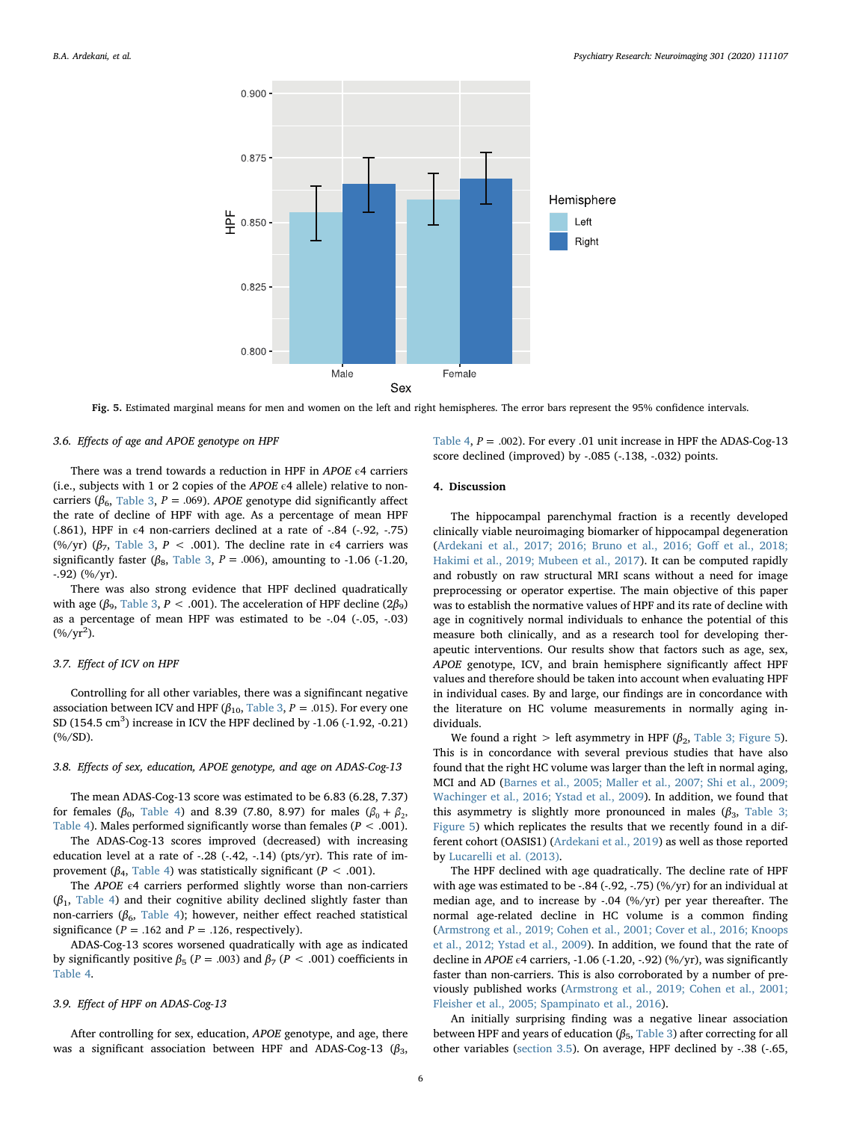<span id="page-5-3"></span>

Fig. 5. Estimated marginal means for men and women on the left and right hemispheres. The error bars represent the 95% confidence intervals.

#### 3.6. Effects of age and APOE genotype on HPF

There was a trend towards a reduction in HPF in APOE €4 carriers (i.e., subjects with 1 or 2 copies of the APOE  $\epsilon$ 4 allele) relative to noncarriers ( $\beta_6$ , [Table 3](#page-4-2), *P* = .069). APOE genotype did significantly affect the rate of decline of HPF with age. As a percentage of mean HPF (.861), HPF in  $\epsilon$ 4 non-carriers declined at a rate of -.84 (-.92, -.75) (%/yr) (β<sub>7</sub>, [Table 3](#page-4-2), P < .001). The decline rate in  $ε$ 4 carriers was significantly faster ( $\beta_8$ , [Table 3](#page-4-2), *P* = .006), amounting to -1.06 (-1.20, -.92) (%/yr).

There was also strong evidence that HPF declined quadratically with age ( $β_9$ , [Table 3,](#page-4-2)  $P < .001$ ). The acceleration of HPF decline (2 $β_9$ ) as a percentage of mean HPF was estimated to be -.04 (-.05, -.03)  $(\%/yr^2)$ .

#### <span id="page-5-0"></span>3.7. Effect of ICV on HPF

Controlling for all other variables, there was a signifincant negative association between ICV and HPF ( $\beta_{10}$ , [Table 3](#page-4-2), *P* = .015). For every one SD (154.5  $\text{cm}^3$ ) increase in ICV the HPF declined by -1.06 (-1.92, -0.21) (%/SD).

### <span id="page-5-1"></span>3.8. Effects of sex, education, APOE genotype, and age on ADAS-Cog-13

The mean ADAS-Cog-13 score was estimated to be 6.83 (6.28, 7.37) for females ( $β_0$ , [Table 4\)](#page-4-4) and 8.39 (7.80, 8.97) for males ( $β_0 + β_2$ , [Table 4\)](#page-4-4). Males performed significantly worse than females ( $P < .001$ ).

The ADAS-Cog-13 scores improved (decreased) with increasing education level at a rate of  $-.28$  ( $-.42, -.14$ ) ( $pts/vr$ ). This rate of improvement ( $\beta_4$ , [Table 4](#page-4-4)) was statistically significant ( $P < .001$ ).

The APOE  $\epsilon$ 4 carriers performed slightly worse than non-carriers  $(\beta_1,$  [Table 4](#page-4-4)) and their cognitive ability declined slightly faster than non-carriers ( $β_6$ , [Table 4](#page-4-4)); however, neither effect reached statistical significance ( $P = .162$  and  $P = .126$ , respectively).

ADAS-Cog-13 scores worsened quadratically with age as indicated by significantly positive  $β_5$  (*P* = .003) and  $β_7$  (*P* < .001) coefficients in [Table 4](#page-4-4).

# <span id="page-5-2"></span>3.9. Effect of HPF on ADAS-Cog-13

After controlling for sex, education, APOE genotype, and age, there was a significant association between HPF and ADAS-Cog-13  $(\beta_3, \beta_4)$ 

[Table 4,](#page-4-4)  $P = .002$ ). For every .01 unit increase in HPF the ADAS-Cog-13 score declined (improved) by -.085 (-.138, -.032) points.

### 4. Discussion

The hippocampal parenchymal fraction is a recently developed clinically viable neuroimaging biomarker of hippocampal degeneration ([Ardekani et al., 2017; 2016; Bruno et al., 2016; Go](#page-7-6)ff et al., 2018; [Hakimi et al., 2019; Mubeen et al., 2017\)](#page-7-6). It can be computed rapidly and robustly on raw structural MRI scans without a need for image preprocessing or operator expertise. The main objective of this paper was to establish the normative values of HPF and its rate of decline with age in cognitively normal individuals to enhance the potential of this measure both clinically, and as a research tool for developing therapeutic interventions. Our results show that factors such as age, sex, APOE genotype, ICV, and brain hemisphere significantly affect HPF values and therefore should be taken into account when evaluating HPF in individual cases. By and large, our findings are in concordance with the literature on HC volume measurements in normally aging individuals.

We found a right > left asymmetry in HPF ( $\beta_2$ , [Table 3; Figure 5](#page-4-2)). This is in concordance with several previous studies that have also found that the right HC volume was larger than the left in normal aging, MCI and AD ([Barnes et al., 2005; Maller et al., 2007; Shi et al., 2009;](#page-7-13) [Wachinger et al., 2016; Ystad et al., 2009\)](#page-7-13). In addition, we found that this asymmetry is slightly more pronounced in males  $(\beta_3, 7$ able 3; [Figure 5\)](#page-4-2) which replicates the results that we recently found in a different cohort (OASIS1) [\(Ardekani et al., 2019](#page-7-14)) as well as those reported by [Lucarelli et al. \(2013\).](#page-8-9)

The HPF declined with age quadratically. The decline rate of HPF with age was estimated to be -.84 (-.92, -.75) (%/yr) for an individual at median age, and to increase by -.04 (%/yr) per year thereafter. The normal age-related decline in HC volume is a common finding ([Armstrong et al., 2019; Cohen et al., 2001; Cover et al., 2016; Knoops](#page-7-15) [et al., 2012; Ystad et al., 2009](#page-7-15)). In addition, we found that the rate of decline in APOE  $\epsilon$ 4 carriers, -1.06 (-1.20, -.92) (%/yr), was significantly faster than non-carriers. This is also corroborated by a number of previously published works [\(Armstrong et al., 2019; Cohen et al., 2001;](#page-7-15) [Fleisher et al., 2005; Spampinato et al., 2016\)](#page-7-15).

An initially surprising finding was a negative linear association between HPF and years of education  $(\beta_5,$  [Table 3](#page-4-2)) after correcting for all other variables [\(section 3.5](#page-4-5)). On average, HPF declined by -.38 (-.65,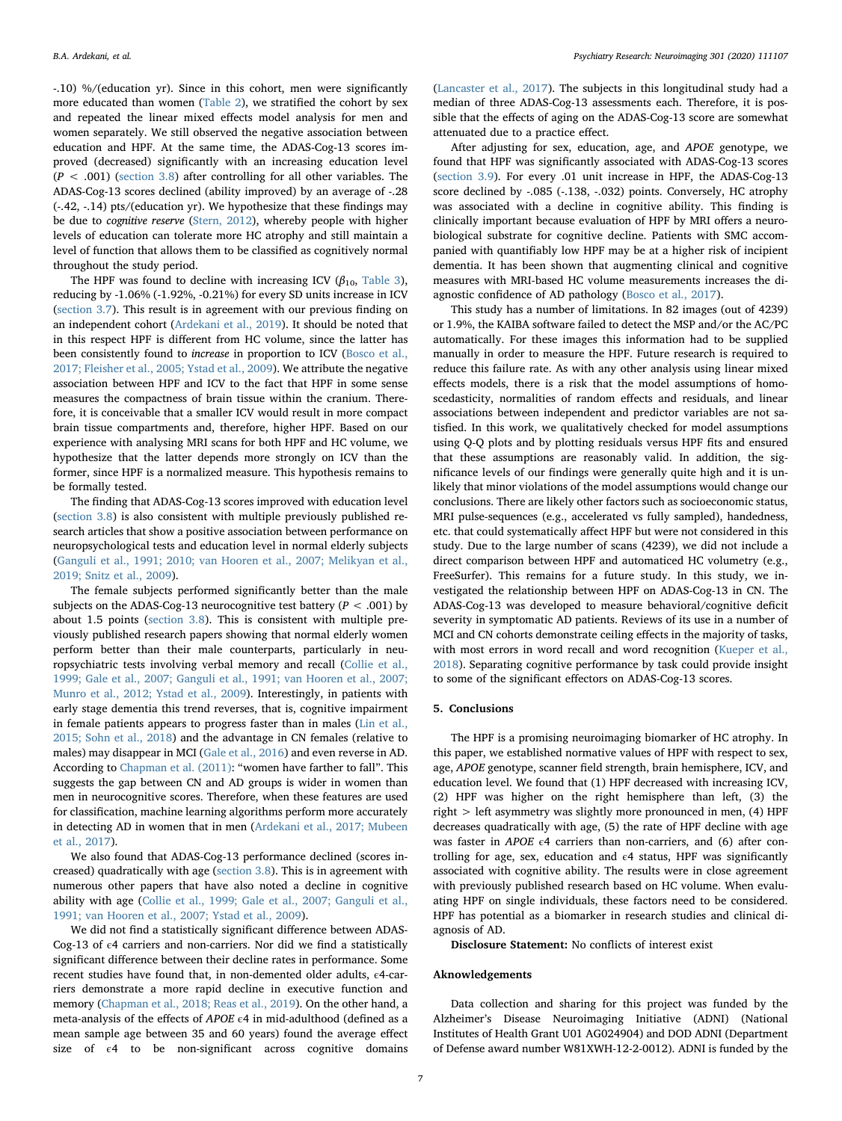-.10) %/(education yr). Since in this cohort, men were significantly more educated than women ([Table 2\)](#page-3-3), we stratified the cohort by sex and repeated the linear mixed effects model analysis for men and women separately. We still observed the negative association between education and HPF. At the same time, the ADAS-Cog-13 scores improved (decreased) significantly with an increasing education level  $(P < .001)$  [\(section 3.8\)](#page-5-1) after controlling for all other variables. The ADAS-Cog-13 scores declined (ability improved) by an average of -.28 (-.42, -.14) pts/(education yr). We hypothesize that these findings may be due to cognitive reserve ([Stern, 2012](#page-8-10)), whereby people with higher levels of education can tolerate more HC atrophy and still maintain a level of function that allows them to be classified as cognitively normal throughout the study period.

The HPF was found to decline with increasing ICV ( $\beta_{10}$ , [Table 3](#page-4-2)), reducing by -1.06% (-1.92%, -0.21%) for every SD units increase in ICV ([section 3.7](#page-5-0)). This result is in agreement with our previous finding on an independent cohort ([Ardekani et al., 2019](#page-7-14)). It should be noted that in this respect HPF is different from HC volume, since the latter has been consistently found to increase in proportion to ICV ([Bosco et al.,](#page-7-0) [2017; Fleisher et al., 2005; Ystad et al., 2009\)](#page-7-0). We attribute the negative association between HPF and ICV to the fact that HPF in some sense measures the compactness of brain tissue within the cranium. Therefore, it is conceivable that a smaller ICV would result in more compact brain tissue compartments and, therefore, higher HPF. Based on our experience with analysing MRI scans for both HPF and HC volume, we hypothesize that the latter depends more strongly on ICV than the former, since HPF is a normalized measure. This hypothesis remains to be formally tested.

The finding that ADAS-Cog-13 scores improved with education level ([section 3.8\)](#page-5-1) is also consistent with multiple previously published research articles that show a positive association between performance on neuropsychological tests and education level in normal elderly subjects ([Ganguli et al., 1991; 2010; van Hooren et al., 2007; Melikyan et al.,](#page-7-16) [2019; Snitz et al., 2009](#page-7-16)).

The female subjects performed significantly better than the male subjects on the ADAS-Cog-13 neurocognitive test battery ( $P < .001$ ) by about 1.5 points [\(section 3.8\)](#page-5-1). This is consistent with multiple previously published research papers showing that normal elderly women perform better than their male counterparts, particularly in neuropsychiatric tests involving verbal memory and recall ([Collie et al.,](#page-7-17) [1999; Gale et al., 2007; Ganguli et al., 1991; van Hooren et al., 2007;](#page-7-17) [Munro et al., 2012; Ystad et al., 2009](#page-7-17)). Interestingly, in patients with early stage dementia this trend reverses, that is, cognitive impairment in female patients appears to progress faster than in males [\(Lin et al.,](#page-8-11) [2015; Sohn et al., 2018\)](#page-8-11) and the advantage in CN females (relative to males) may disappear in MCI [\(Gale et al., 2016](#page-7-18)) and even reverse in AD. According to [Chapman et al. \(2011\)](#page-7-19): "women have farther to fall". This suggests the gap between CN and AD groups is wider in women than men in neurocognitive scores. Therefore, when these features are used for classification, machine learning algorithms perform more accurately in detecting AD in women that in men [\(Ardekani et al., 2017; Mubeen](#page-7-6) [et al., 2017](#page-7-6)).

We also found that ADAS-Cog-13 performance declined (scores increased) quadratically with age ([section 3.8\)](#page-5-1). This is in agreement with numerous other papers that have also noted a decline in cognitive ability with age ([Collie et al., 1999; Gale et al., 2007; Ganguli et al.,](#page-7-17) [1991; van Hooren et al., 2007; Ystad et al., 2009](#page-7-17)).

We did not find a statistically significant difference between ADAS-Cog-13 of  $\epsilon$ 4 carriers and non-carriers. Nor did we find a statistically significant difference between their decline rates in performance. Some recent studies have found that, in non-demented older adults, €4-carriers demonstrate a more rapid decline in executive function and memory ([Chapman et al., 2018; Reas et al., 2019](#page-7-20)). On the other hand, a meta-analysis of the effects of APOE  $\epsilon$ 4 in mid-adulthood (defined as a mean sample age between 35 and 60 years) found the average effect size of  $\epsilon$ 4 to be non-significant across cognitive domains

([Lancaster et al., 2017\)](#page-8-12). The subjects in this longitudinal study had a median of three ADAS-Cog-13 assessments each. Therefore, it is possible that the effects of aging on the ADAS-Cog-13 score are somewhat attenuated due to a practice effect.

After adjusting for sex, education, age, and APOE genotype, we found that HPF was significantly associated with ADAS-Cog-13 scores ([section 3.9](#page-5-2)). For every .01 unit increase in HPF, the ADAS-Cog-13 score declined by -.085 (-.138, -.032) points. Conversely, HC atrophy was associated with a decline in cognitive ability. This finding is clinically important because evaluation of HPF by MRI offers a neurobiological substrate for cognitive decline. Patients with SMC accompanied with quantifiably low HPF may be at a higher risk of incipient dementia. It has been shown that augmenting clinical and cognitive measures with MRI-based HC volume measurements increases the diagnostic confidence of AD pathology [\(Bosco et al., 2017](#page-7-0)).

This study has a number of limitations. In 82 images (out of 4239) or 1.9%, the KAIBA software failed to detect the MSP and/or the AC/PC automatically. For these images this information had to be supplied manually in order to measure the HPF. Future research is required to reduce this failure rate. As with any other analysis using linear mixed effects models, there is a risk that the model assumptions of homoscedasticity, normalities of random effects and residuals, and linear associations between independent and predictor variables are not satisfied. In this work, we qualitatively checked for model assumptions using Q-Q plots and by plotting residuals versus HPF fits and ensured that these assumptions are reasonably valid. In addition, the significance levels of our findings were generally quite high and it is unlikely that minor violations of the model assumptions would change our conclusions. There are likely other factors such as socioeconomic status, MRI pulse-sequences (e.g., accelerated vs fully sampled), handedness, etc. that could systematically affect HPF but were not considered in this study. Due to the large number of scans (4239), we did not include a direct comparison between HPF and automaticed HC volumetry (e.g., FreeSurfer). This remains for a future study. In this study, we investigated the relationship between HPF on ADAS-Cog-13 in CN. The ADAS-Cog-13 was developed to measure behavioral/cognitive deficit severity in symptomatic AD patients. Reviews of its use in a number of MCI and CN cohorts demonstrate ceiling effects in the majority of tasks, with most errors in word recall and word recognition ([Kueper et al.,](#page-8-13) [2018\)](#page-8-13). Separating cognitive performance by task could provide insight to some of the significant effectors on ADAS-Cog-13 scores.

#### 5. Conclusions

The HPF is a promising neuroimaging biomarker of HC atrophy. In this paper, we established normative values of HPF with respect to sex, age, APOE genotype, scanner field strength, brain hemisphere, ICV, and education level. We found that (1) HPF decreased with increasing ICV, (2) HPF was higher on the right hemisphere than left, (3) the right > left asymmetry was slightly more pronounced in men, (4) HPF decreases quadratically with age, (5) the rate of HPF decline with age was faster in  $APOE$   $\epsilon$ 4 carriers than non-carriers, and (6) after controlling for age, sex, education and  $\epsilon$ 4 status, HPF was significantly associated with cognitive ability. The results were in close agreement with previously published research based on HC volume. When evaluating HPF on single individuals, these factors need to be considered. HPF has potential as a biomarker in research studies and clinical diagnosis of AD.

Disclosure Statement: No conflicts of interest exist

#### Aknowledgements

Data collection and sharing for this project was funded by the Alzheimer's Disease Neuroimaging Initiative (ADNI) (National Institutes of Health Grant U01 AG024904) and DOD ADNI (Department of Defense award number W81XWH-12-2-0012). ADNI is funded by the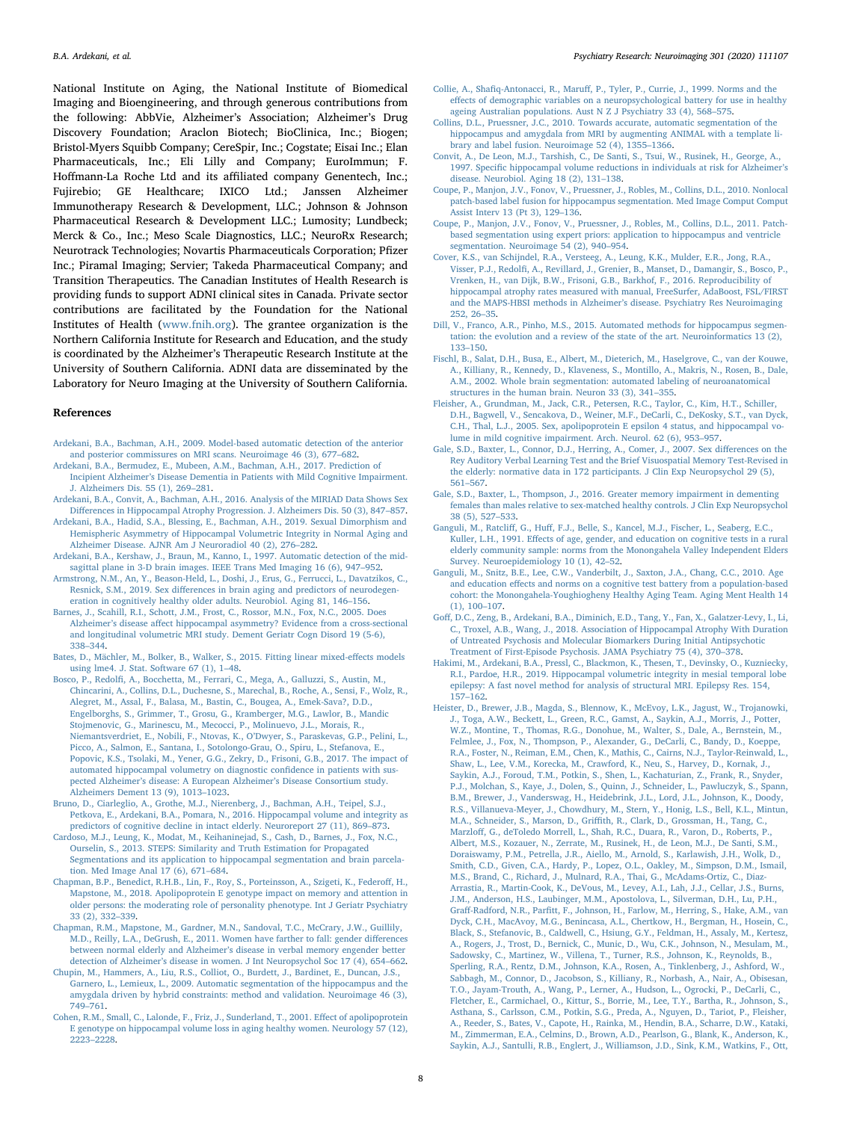National Institute on Aging, the National Institute of Biomedical Imaging and Bioengineering, and through generous contributions from the following: AbbVie, Alzheimer's Association; Alzheimer's Drug Discovery Foundation; Araclon Biotech; BioClinica, Inc.; Biogen; Bristol-Myers Squibb Company; CereSpir, Inc.; Cogstate; Eisai Inc.; Elan Pharmaceuticals, Inc.; Eli Lilly and Company; EuroImmun; F. Hoffmann-La Roche Ltd and its affiliated company Genentech, Inc.; Fujirebio; GE Healthcare; IXICO Ltd.; Janssen Alzheimer Immunotherapy Research & Development, LLC.; Johnson & Johnson Pharmaceutical Research & Development LLC.; Lumosity; Lundbeck; Merck & Co., Inc.; Meso Scale Diagnostics, LLC.; NeuroRx Research; Neurotrack Technologies; Novartis Pharmaceuticals Corporation; Pfizer Inc.; Piramal Imaging; Servier; Takeda Pharmaceutical Company; and Transition Therapeutics. The Canadian Institutes of Health Research is providing funds to support ADNI clinical sites in Canada. Private sector contributions are facilitated by the Foundation for the National Institutes of Health ([www.fnih.org\)](http://www.fnih.org). The grantee organization is the Northern California Institute for Research and Education, and the study is coordinated by the Alzheimer's Therapeutic Research Institute at the University of Southern California. ADNI data are disseminated by the Laboratory for Neuro Imaging at the University of Southern California.

#### References

- <span id="page-7-11"></span>[Ardekani, B.A., Bachman, A.H., 2009. Model-based automatic detection of the anterior](http://refhub.elsevier.com/S0925-4927(20)30079-2/sbref0001) [and posterior commissures on MRI scans. Neuroimage 46 \(3\), 677](http://refhub.elsevier.com/S0925-4927(20)30079-2/sbref0001)–682.
- <span id="page-7-6"></span>[Ardekani, B.A., Bermudez, E., Mubeen, A.M., Bachman, A.H., 2017. Prediction of](http://refhub.elsevier.com/S0925-4927(20)30079-2/sbref0002) Incipient Alzheimer'[s Disease Dementia in Patients with Mild Cognitive Impairment.](http://refhub.elsevier.com/S0925-4927(20)30079-2/sbref0002) [J. Alzheimers Dis. 55 \(1\), 269](http://refhub.elsevier.com/S0925-4927(20)30079-2/sbref0002)–281.
- <span id="page-7-5"></span>[Ardekani, B.A., Convit, A., Bachman, A.H., 2016. Analysis of the MIRIAD Data Shows Sex](http://refhub.elsevier.com/S0925-4927(20)30079-2/sbref0003) Diff[erences in Hippocampal Atrophy Progression. J. Alzheimers Dis. 50 \(3\), 847](http://refhub.elsevier.com/S0925-4927(20)30079-2/sbref0003)–857.
- <span id="page-7-14"></span>[Ardekani, B.A., Hadid, S.A., Blessing, E., Bachman, A.H., 2019. Sexual Dimorphism and](http://refhub.elsevier.com/S0925-4927(20)30079-2/sbref0004) [Hemispheric Asymmetry of Hippocampal Volumetric Integrity in Normal Aging and](http://refhub.elsevier.com/S0925-4927(20)30079-2/sbref0004)
- <span id="page-7-10"></span>[Alzheimer Disease. AJNR Am J Neuroradiol 40 \(2\), 276](http://refhub.elsevier.com/S0925-4927(20)30079-2/sbref0004)–282. [Ardekani, B.A., Kershaw, J., Braun, M., Kanno, I., 1997. Automatic detection of the mid](http://refhub.elsevier.com/S0925-4927(20)30079-2/sbref0005)[sagittal plane in 3-D brain images. IEEE Trans Med Imaging 16 \(6\), 947](http://refhub.elsevier.com/S0925-4927(20)30079-2/sbref0005)–952.
- <span id="page-7-15"></span>[Armstrong, N.M., An, Y., Beason-Held, L., Doshi, J., Erus, G., Ferrucci, L., Davatzikos, C.,](http://refhub.elsevier.com/S0925-4927(20)30079-2/sbref0006) Resnick, S.M., 2019. Sex diff[erences in brain aging and predictors of neurodegen](http://refhub.elsevier.com/S0925-4927(20)30079-2/sbref0006)[eration in cognitively healthy older adults. Neurobiol. Aging 81, 146](http://refhub.elsevier.com/S0925-4927(20)30079-2/sbref0006)–156.
- <span id="page-7-13"></span>[Barnes, J., Scahill, R.I., Schott, J.M., Frost, C., Rossor, M.N., Fox, N.C., 2005. Does](http://refhub.elsevier.com/S0925-4927(20)30079-2/sbref0007) Alzheimer's disease aff[ect hippocampal asymmetry? Evidence from a cross-sectional](http://refhub.elsevier.com/S0925-4927(20)30079-2/sbref0007) [and longitudinal volumetric MRI study. Dement Geriatr Cogn Disord 19 \(5-6\),](http://refhub.elsevier.com/S0925-4927(20)30079-2/sbref0007) 338–[344](http://refhub.elsevier.com/S0925-4927(20)30079-2/sbref0007).
- <span id="page-7-12"></span>[Bates, D., Mächler, M., Bolker, B., Walker, S., 2015. Fitting linear mixed-e](http://refhub.elsevier.com/S0925-4927(20)30079-2/sbref0008)ffects models [using lme4. J. Stat. Software 67 \(1\), 1](http://refhub.elsevier.com/S0925-4927(20)30079-2/sbref0008)–48.
- <span id="page-7-0"></span>Bosco, P., Redolfi[, A., Bocchetta, M., Ferrari, C., Mega, A., Galluzzi, S., Austin, M.,](http://refhub.elsevier.com/S0925-4927(20)30079-2/sbref0009) [Chincarini, A., Collins, D.L., Duchesne, S., Marechal, B., Roche, A., Sensi, F., Wolz, R.,](http://refhub.elsevier.com/S0925-4927(20)30079-2/sbref0009) [Alegret, M., Assal, F., Balasa, M., Bastin, C., Bougea, A., Emek-Sava?, D.D.,](http://refhub.elsevier.com/S0925-4927(20)30079-2/sbref0009) [Engelborghs, S., Grimmer, T., Grosu, G., Kramberger, M.G., Lawlor, B., Mandic](http://refhub.elsevier.com/S0925-4927(20)30079-2/sbref0009) [Stojmenovic, G., Marinescu, M., Mecocci, P., Molinuevo, J.L., Morais, R.,](http://refhub.elsevier.com/S0925-4927(20)30079-2/sbref0009) [Niemantsverdriet, E., Nobili, F., Ntovas, K., O](http://refhub.elsevier.com/S0925-4927(20)30079-2/sbref0009)'Dwyer, S., Paraskevas, G.P., Pelini, L., [Picco, A., Salmon, E., Santana, I., Sotolongo-Grau, O., Spiru, L., Stefanova, E.,](http://refhub.elsevier.com/S0925-4927(20)30079-2/sbref0009) [Popovic, K.S., Tsolaki, M., Yener, G.G., Zekry, D., Frisoni, G.B., 2017. The impact of](http://refhub.elsevier.com/S0925-4927(20)30079-2/sbref0009) [automated hippocampal volumetry on diagnostic con](http://refhub.elsevier.com/S0925-4927(20)30079-2/sbref0009)fidence in patients with suspected Alzheimer'[s disease: A European Alzheimer](http://refhub.elsevier.com/S0925-4927(20)30079-2/sbref0009)'s Disease Consortium study. [Alzheimers Dement 13 \(9\), 1013](http://refhub.elsevier.com/S0925-4927(20)30079-2/sbref0009)–1023.
- <span id="page-7-9"></span>[Bruno, D., Ciarleglio, A., Grothe, M.J., Nierenberg, J., Bachman, A.H., Teipel, S.J.,](http://refhub.elsevier.com/S0925-4927(20)30079-2/sbref0010) [Petkova, E., Ardekani, B.A., Pomara, N., 2016. Hippocampal volume and integrity as](http://refhub.elsevier.com/S0925-4927(20)30079-2/sbref0010) [predictors of cognitive decline in intact elderly. Neuroreport 27 \(11\), 869](http://refhub.elsevier.com/S0925-4927(20)30079-2/sbref0010)–873.
- <span id="page-7-2"></span>[Cardoso, M.J., Leung, K., Modat, M., Keihaninejad, S., Cash, D., Barnes, J., Fox, N.C.,](http://refhub.elsevier.com/S0925-4927(20)30079-2/sbref0011) [Ourselin, S., 2013. STEPS: Similarity and Truth Estimation for Propagated](http://refhub.elsevier.com/S0925-4927(20)30079-2/sbref0011) [Segmentations and its application to hippocampal segmentation and brain parcela](http://refhub.elsevier.com/S0925-4927(20)30079-2/sbref0011)[tion. Med Image Anal 17 \(6\), 671](http://refhub.elsevier.com/S0925-4927(20)30079-2/sbref0011)–684.
- <span id="page-7-20"></span>[Chapman, B.P., Benedict, R.H.B., Lin, F., Roy, S., Porteinsson, A., Szigeti, K., Federo](http://refhub.elsevier.com/S0925-4927(20)30079-2/sbref0012)ff, H., [Mapstone, M., 2018. Apolipoprotein E genotype impact on memory and attention in](http://refhub.elsevier.com/S0925-4927(20)30079-2/sbref0012) [older persons: the moderating role of personality phenotype. Int J Geriatr Psychiatry](http://refhub.elsevier.com/S0925-4927(20)30079-2/sbref0012) [33 \(2\), 332](http://refhub.elsevier.com/S0925-4927(20)30079-2/sbref0012)–339.
- <span id="page-7-19"></span>[Chapman, R.M., Mapstone, M., Gardner, M.N., Sandoval, T.C., McCrary, J.W., Guillily,](http://refhub.elsevier.com/S0925-4927(20)30079-2/sbref0013) M.D., [Reilly, L.A., DeGrush, E., 2011. Women have farther to fall: gender di](http://refhub.elsevier.com/S0925-4927(20)30079-2/sbref0013)fferences between normal elderly and Alzheimer'[s disease in verbal memory engender better](http://refhub.elsevier.com/S0925-4927(20)30079-2/sbref0013) detection of Alzheimer'[s disease in women. J Int Neuropsychol Soc 17 \(4\), 654](http://refhub.elsevier.com/S0925-4927(20)30079-2/sbref0013)–662.
- [Chupin, M., Hammers, A., Liu, R.S., Colliot, O., Burdett, J., Bardinet, E., Duncan, J.S.,](http://refhub.elsevier.com/S0925-4927(20)30079-2/sbref0014) [Garnero, L., Lemieux, L., 2009. Automatic segmentation of the hippocampus and the](http://refhub.elsevier.com/S0925-4927(20)30079-2/sbref0014) [amygdala driven by hybrid constraints: method and validation. Neuroimage 46 \(3\),](http://refhub.elsevier.com/S0925-4927(20)30079-2/sbref0014) 749–[761](http://refhub.elsevier.com/S0925-4927(20)30079-2/sbref0014).
- [Cohen, R.M., Small, C., Lalonde, F., Friz, J., Sunderland, T., 2001. E](http://refhub.elsevier.com/S0925-4927(20)30079-2/sbref0015)ffect of apolipoprotein [E genotype on hippocampal volume loss in aging healthy women. Neurology 57 \(12\),](http://refhub.elsevier.com/S0925-4927(20)30079-2/sbref0015) [2223](http://refhub.elsevier.com/S0925-4927(20)30079-2/sbref0015)–2228.
- <span id="page-7-17"></span>Collie, A., Shafiq-Antonacci, R., Maruff[, P., Tyler, P., Currie, J., 1999. Norms and the](http://refhub.elsevier.com/S0925-4927(20)30079-2/sbref0016) eff[ects of demographic variables on a neuropsychological battery for use in healthy](http://refhub.elsevier.com/S0925-4927(20)30079-2/sbref0016) [ageing Australian populations. Aust N Z J Psychiatry 33 \(4\), 568](http://refhub.elsevier.com/S0925-4927(20)30079-2/sbref0016)–575.
- [Collins, D.L., Pruessner, J.C., 2010. Towards accurate, automatic segmentation of the](http://refhub.elsevier.com/S0925-4927(20)30079-2/sbref0017) [hippocampus and amygdala from MRI by augmenting ANIMAL with a template li](http://refhub.elsevier.com/S0925-4927(20)30079-2/sbref0017)[brary and label fusion. Neuroimage 52 \(4\), 1355](http://refhub.elsevier.com/S0925-4927(20)30079-2/sbref0017)–1366.
- <span id="page-7-1"></span>[Convit, A., De Leon, M.J., Tarshish, C., De Santi, S., Tsui, W., Rusinek, H., George, A.,](http://refhub.elsevier.com/S0925-4927(20)30079-2/sbref0018) 1997. Specifi[c hippocampal volume reductions in individuals at risk for Alzheimer](http://refhub.elsevier.com/S0925-4927(20)30079-2/sbref0018)'s [disease. Neurobiol. Aging 18 \(2\), 131](http://refhub.elsevier.com/S0925-4927(20)30079-2/sbref0018)–138.
- [Coupe, P., Manjon, J.V., Fonov, V., Pruessner, J., Robles, M., Collins, D.L., 2010. Nonlocal](http://refhub.elsevier.com/S0925-4927(20)30079-2/sbref0019) [patch-based label fusion for hippocampus segmentation. Med Image Comput Comput](http://refhub.elsevier.com/S0925-4927(20)30079-2/sbref0019) [Assist Interv 13 \(Pt 3\), 129](http://refhub.elsevier.com/S0925-4927(20)30079-2/sbref0019)–136.
- [Coupe, P., Manjon, J.V., Fonov, V., Pruessner, J., Robles, M., Collins, D.L., 2011. Patch](http://refhub.elsevier.com/S0925-4927(20)30079-2/sbref0020)[based segmentation using expert priors: application to hippocampus and ventricle](http://refhub.elsevier.com/S0925-4927(20)30079-2/sbref0020) [segmentation. Neuroimage 54 \(2\), 940](http://refhub.elsevier.com/S0925-4927(20)30079-2/sbref0020)–954.
- [Cover, K.S., van Schijndel, R.A., Versteeg, A., Leung, K.K., Mulder, E.R., Jong, R.A.,](http://refhub.elsevier.com/S0925-4927(20)30079-2/sbref0021) Visser, P.J., Redolfi[, A., Revillard, J., Grenier, B., Manset, D., Damangir, S., Bosco, P.,](http://refhub.elsevier.com/S0925-4927(20)30079-2/sbref0021) [Vrenken, H., van Dijk, B.W., Frisoni, G.B., Barkhof, F., 2016. Reproducibility of](http://refhub.elsevier.com/S0925-4927(20)30079-2/sbref0021) [hippocampal atrophy rates measured with manual, FreeSurfer, AdaBoost, FSL/FIRST](http://refhub.elsevier.com/S0925-4927(20)30079-2/sbref0021) [and the MAPS-HBSI methods in Alzheimer](http://refhub.elsevier.com/S0925-4927(20)30079-2/sbref0021)'s disease. Psychiatry Res Neuroimaging [252, 26](http://refhub.elsevier.com/S0925-4927(20)30079-2/sbref0021)–35.
- [Dill, V., Franco, A.R., Pinho, M.S., 2015. Automated methods for hippocampus segmen](http://refhub.elsevier.com/S0925-4927(20)30079-2/sbref0022)[tation: the evolution and a review of the state of the art. Neuroinformatics 13 \(2\),](http://refhub.elsevier.com/S0925-4927(20)30079-2/sbref0022) 133–[150](http://refhub.elsevier.com/S0925-4927(20)30079-2/sbref0022).
- <span id="page-7-3"></span>[Fischl, B., Salat, D.H., Busa, E., Albert, M., Dieterich, M., Haselgrove, C., van der Kouwe,](http://refhub.elsevier.com/S0925-4927(20)30079-2/sbref0023) [A., Killiany, R., Kennedy, D., Klaveness, S., Montillo, A., Makris, N., Rosen, B., Dale,](http://refhub.elsevier.com/S0925-4927(20)30079-2/sbref0023) [A.M., 2002. Whole brain segmentation: automated labeling of neuroanatomical](http://refhub.elsevier.com/S0925-4927(20)30079-2/sbref0023) [structures in the human brain. Neuron 33 \(3\), 341](http://refhub.elsevier.com/S0925-4927(20)30079-2/sbref0023)–355.
- [Fleisher, A., Grundman, M., Jack, C.R., Petersen, R.C., Taylor, C., Kim, H.T., Schiller,](http://refhub.elsevier.com/S0925-4927(20)30079-2/sbref0024) [D.H., Bagwell, V., Sencakova, D., Weiner, M.F., DeCarli, C., DeKosky, S.T., van Dyck,](http://refhub.elsevier.com/S0925-4927(20)30079-2/sbref0024) [C.H., Thal, L.J., 2005. Sex, apolipoprotein E epsilon 4 status, and hippocampal vo](http://refhub.elsevier.com/S0925-4927(20)30079-2/sbref0024)[lume in mild cognitive impairment. Arch. Neurol. 62 \(6\), 953](http://refhub.elsevier.com/S0925-4927(20)30079-2/sbref0024)–957.
- [Gale, S.D., Baxter, L., Connor, D.J., Herring, A., Comer, J., 2007. Sex di](http://refhub.elsevier.com/S0925-4927(20)30079-2/sbref0025)fferences on the [Rey Auditory Verbal Learning Test and the Brief Visuospatial Memory Test-Revised in](http://refhub.elsevier.com/S0925-4927(20)30079-2/sbref0025) the [elderly: normative data in 172 participants. J Clin Exp Neuropsychol 29 \(5\),](http://refhub.elsevier.com/S0925-4927(20)30079-2/sbref0025) 561–[567](http://refhub.elsevier.com/S0925-4927(20)30079-2/sbref0025).
- <span id="page-7-18"></span>[Gale, S.D., Baxter, L., Thompson, J., 2016. Greater memory impairment in dementing](http://refhub.elsevier.com/S0925-4927(20)30079-2/sbref0026) [females than males relative to sex-matched healthy controls. J Clin Exp Neuropsychol](http://refhub.elsevier.com/S0925-4927(20)30079-2/sbref0026) [38 \(5\), 527](http://refhub.elsevier.com/S0925-4927(20)30079-2/sbref0026)–533.
- <span id="page-7-16"></span>Ganguli, M., Ratcliff, G., Huff[, F.J., Belle, S., Kancel, M.J., Fischer, L., Seaberg, E.C.,](http://refhub.elsevier.com/S0925-4927(20)30079-2/sbref0027) Kuller, L.H., 1991. Eff[ects of age, gender, and education on cognitive tests in a rural](http://refhub.elsevier.com/S0925-4927(20)30079-2/sbref0027) [elderly community sample: norms from the Monongahela Valley Independent Elders](http://refhub.elsevier.com/S0925-4927(20)30079-2/sbref0027) [Survey. Neuroepidemiology 10 \(1\), 42](http://refhub.elsevier.com/S0925-4927(20)30079-2/sbref0027)–52.
- [Ganguli, M., Snitz, B.E., Lee, C.W., Vanderbilt, J., Saxton, J.A., Chang, C.C., 2010. Age](http://refhub.elsevier.com/S0925-4927(20)30079-2/sbref0028) and education eff[ects and norms on a cognitive test battery from a population-based](http://refhub.elsevier.com/S0925-4927(20)30079-2/sbref0028) [cohort: the Monongahela-Youghiogheny Healthy Aging Team. Aging Ment Health 14](http://refhub.elsevier.com/S0925-4927(20)30079-2/sbref0028) [\(1\), 100](http://refhub.elsevier.com/S0925-4927(20)30079-2/sbref0028)–107.
- <span id="page-7-7"></span>Goff[, D.C., Zeng, B., Ardekani, B.A., Diminich, E.D., Tang, Y., Fan, X., Galatzer-Levy, I., Li,](http://refhub.elsevier.com/S0925-4927(20)30079-2/sbref0029) [C., Troxel, A.B., Wang, J., 2018. Association of Hippocampal Atrophy With Duration](http://refhub.elsevier.com/S0925-4927(20)30079-2/sbref0029) [of Untreated Psychosis and Molecular Biomarkers During Initial Antipsychotic](http://refhub.elsevier.com/S0925-4927(20)30079-2/sbref0029) [Treatment of First-Episode Psychosis. JAMA Psychiatry 75 \(4\), 370](http://refhub.elsevier.com/S0925-4927(20)30079-2/sbref0029)–378.
- <span id="page-7-8"></span>[Hakimi, M., Ardekani, B.A., Pressl, C., Blackmon, K., Thesen, T., Devinsky, O., Kuzniecky,](http://refhub.elsevier.com/S0925-4927(20)30079-2/sbref0030) [R.I., Pardoe, H.R., 2019. Hippocampal volumetric integrity in mesial temporal lobe](http://refhub.elsevier.com/S0925-4927(20)30079-2/sbref0030) [epilepsy: A fast novel method for analysis of structural MRI. Epilepsy Res. 154,](http://refhub.elsevier.com/S0925-4927(20)30079-2/sbref0030) 157–[162](http://refhub.elsevier.com/S0925-4927(20)30079-2/sbref0030).
- <span id="page-7-4"></span>[Heister, D., Brewer, J.B., Magda, S., Blennow, K., McEvoy, L.K., Jagust, W., Trojanowki,](http://refhub.elsevier.com/S0925-4927(20)30079-2/sbref0031) [J., Toga, A.W., Beckett, L., Green, R.C., Gamst, A., Saykin, A.J., Morris, J., Potter,](http://refhub.elsevier.com/S0925-4927(20)30079-2/sbref0031) [W.Z., Montine, T., Thomas, R.G., Donohue, M., Walter, S., Dale, A., Bernstein, M.,](http://refhub.elsevier.com/S0925-4927(20)30079-2/sbref0031) [Felmlee, J., Fox, N., Thompson, P., Alexander, G., DeCarli, C., Bandy, D., Koeppe,](http://refhub.elsevier.com/S0925-4927(20)30079-2/sbref0031) [R.A., Foster, N., Reiman, E.M., Chen, K., Mathis, C., Cairns, N.J., Taylor-Reinwald, L.,](http://refhub.elsevier.com/S0925-4927(20)30079-2/sbref0031) [Shaw, L., Lee, V.M., Korecka, M., Crawford, K., Neu, S., Harvey, D., Kornak, J.,](http://refhub.elsevier.com/S0925-4927(20)30079-2/sbref0031) [Saykin, A.J., Foroud, T.M., Potkin, S., Shen, L., Kachaturian, Z., Frank, R., Snyder,](http://refhub.elsevier.com/S0925-4927(20)30079-2/sbref0031) [P.J., Molchan, S., Kaye, J., Dolen, S., Quinn, J., Schneider, L., Pawluczyk, S., Spann,](http://refhub.elsevier.com/S0925-4927(20)30079-2/sbref0031) [B.M., Brewer, J., Vanderswag, H., Heidebrink, J.L., Lord, J.L., Johnson, K., Doody,](http://refhub.elsevier.com/S0925-4927(20)30079-2/sbref0031) [R.S., Villanueva-Meyer, J., Chowdhury, M., Stern, Y., Honig, L.S., Bell, K.L., Mintun,](http://refhub.elsevier.com/S0925-4927(20)30079-2/sbref0031) M.A., Schneider, S., Marson, D., Griffi[th, R., Clark, D., Grossman, H., Tang, C.,](http://refhub.elsevier.com/S0925-4927(20)30079-2/sbref0031) Marzloff[, G., deToledo Morrell, L., Shah, R.C., Duara, R., Varon, D., Roberts, P.,](http://refhub.elsevier.com/S0925-4927(20)30079-2/sbref0031) [Albert, M.S., Kozauer, N., Zerrate, M., Rusinek, H., de Leon, M.J., De Santi, S.M.,](http://refhub.elsevier.com/S0925-4927(20)30079-2/sbref0031) [Doraiswamy, P.M., Petrella, J.R., Aiello, M., Arnold, S., Karlawish, J.H., Wolk, D.,](http://refhub.elsevier.com/S0925-4927(20)30079-2/sbref0031) [Smith, C.D., Given, C.A., Hardy, P., Lopez, O.L., Oakley, M., Simpson, D.M., Ismail,](http://refhub.elsevier.com/S0925-4927(20)30079-2/sbref0031) [M.S., Brand, C., Richard, J., Mulnard, R.A., Thai, G., McAdams-Ortiz, C., Diaz-](http://refhub.elsevier.com/S0925-4927(20)30079-2/sbref0031)[Arrastia, R., Martin-Cook, K., DeVous, M., Levey, A.I., Lah, J.J., Cellar, J.S., Burns,](http://refhub.elsevier.com/S0925-4927(20)30079-2/sbref0031) [J.M., Anderson, H.S., Laubinger, M.M., Apostolova, L., Silverman, D.H., Lu, P.H.,](http://refhub.elsevier.com/S0925-4927(20)30079-2/sbref0031) Graff-Radford, N.R., Parfi[tt, F., Johnson, H., Farlow, M., Herring, S., Hake, A.M., van](http://refhub.elsevier.com/S0925-4927(20)30079-2/sbref0031) [Dyck, C.H., MacAvoy, M.G., Benincasa, A.L., Chertkow, H., Bergman, H., Hosein, C.,](http://refhub.elsevier.com/S0925-4927(20)30079-2/sbref0031) [Black, S., Stefanovic, B., Caldwell, C., Hsiung, G.Y., Feldman, H., Assaly, M., Kertesz,](http://refhub.elsevier.com/S0925-4927(20)30079-2/sbref0031) [A., Rogers, J., Trost, D., Bernick, C., Munic, D., Wu, C.K., Johnson, N., Mesulam, M.,](http://refhub.elsevier.com/S0925-4927(20)30079-2/sbref0031) [Sadowsky, C., Martinez, W., Villena, T., Turner, R.S., Johnson, K., Reynolds, B.,](http://refhub.elsevier.com/S0925-4927(20)30079-2/sbref0031) [Sperling, R.A., Rentz, D.M., Johnson, K.A., Rosen, A., Tinklenberg, J., Ashford, W.,](http://refhub.elsevier.com/S0925-4927(20)30079-2/sbref0031) [Sabbagh, M., Connor, D., Jacobson, S., Killiany, R., Norbash, A., Nair, A., Obisesan,](http://refhub.elsevier.com/S0925-4927(20)30079-2/sbref0031) [T.O., Jayam-Trouth, A., Wang, P., Lerner, A., Hudson, L., Ogrocki, P., DeCarli, C.,](http://refhub.elsevier.com/S0925-4927(20)30079-2/sbref0031) [Fletcher, E., Carmichael, O., Kittur, S., Borrie, M., Lee, T.Y., Bartha, R., Johnson, S.,](http://refhub.elsevier.com/S0925-4927(20)30079-2/sbref0031) [Asthana, S., Carlsson, C.M., Potkin, S.G., Preda, A., Nguyen, D., Tariot, P., Fleisher,](http://refhub.elsevier.com/S0925-4927(20)30079-2/sbref0031) [A., Reeder, S., Bates, V., Capote, H., Rainka, M., Hendin, B.A., Scharre, D.W., Kataki,](http://refhub.elsevier.com/S0925-4927(20)30079-2/sbref0031) [M., Zimmerman, E.A., Celmins, D., Brown, A.D., Pearlson, G., Blank, K., Anderson, K.,](http://refhub.elsevier.com/S0925-4927(20)30079-2/sbref0031) [Saykin, A.J., Santulli, R.B., Englert, J., Williamson, J.D., Sink, K.M., Watkins, F., Ott,](http://refhub.elsevier.com/S0925-4927(20)30079-2/sbref0031)